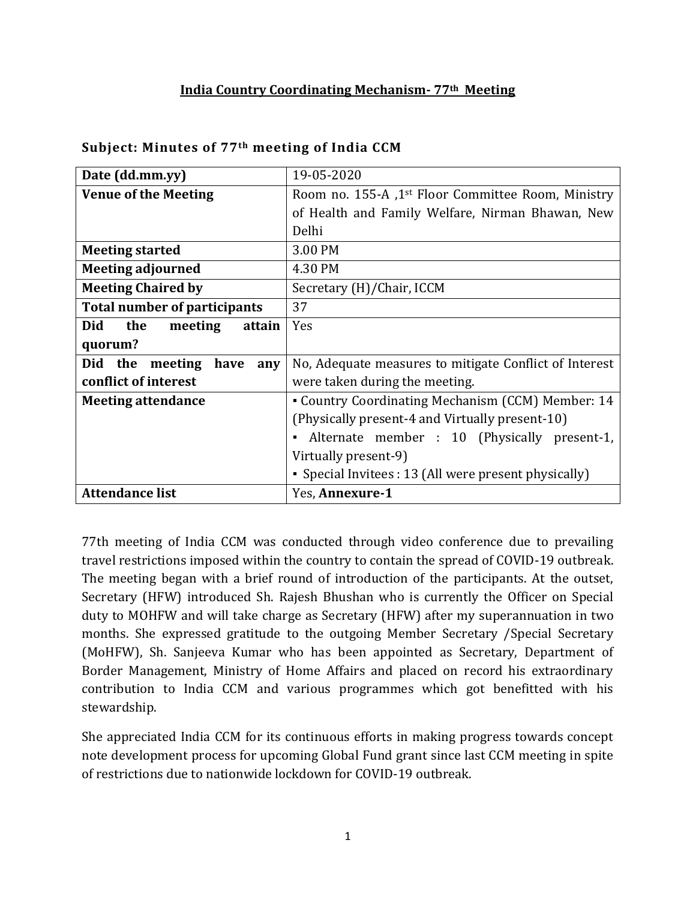### **India Country Coordinating Mechanism- 77th Meeting**

| Date (dd.mm.yy)                        | 19-05-2020                                                     |  |  |
|----------------------------------------|----------------------------------------------------------------|--|--|
| <b>Venue of the Meeting</b>            | Room no. 155-A ,1 <sup>st</sup> Floor Committee Room, Ministry |  |  |
|                                        | of Health and Family Welfare, Nirman Bhawan, New               |  |  |
|                                        | Delhi                                                          |  |  |
| <b>Meeting started</b>                 | 3.00 PM                                                        |  |  |
| <b>Meeting adjourned</b>               | 4.30 PM                                                        |  |  |
| <b>Meeting Chaired by</b>              | Secretary (H)/Chair, ICCM                                      |  |  |
| <b>Total number of participants</b>    | 37                                                             |  |  |
| <b>Did</b><br>the<br>meeting<br>attain | Yes                                                            |  |  |
| quorum?                                |                                                                |  |  |
| Did the<br>have<br>meeting<br>any      | No, Adequate measures to mitigate Conflict of Interest         |  |  |
| conflict of interest                   | were taken during the meeting.                                 |  |  |
| <b>Meeting attendance</b>              | • Country Coordinating Mechanism (CCM) Member: 14              |  |  |
|                                        | (Physically present-4 and Virtually present-10)                |  |  |
|                                        | Alternate member : 10 (Physically present-1,<br>$\blacksquare$ |  |  |
|                                        | Virtually present-9)                                           |  |  |
|                                        | • Special Invitees : 13 (All were present physically)          |  |  |
| <b>Attendance list</b>                 | Yes, Annexure-1                                                |  |  |

#### **Subject: Minutes of 77th meeting of India CCM**

77th meeting of India CCM was conducted through video conference due to prevailing travel restrictions imposed within the country to contain the spread of COVID-19 outbreak. The meeting began with a brief round of introduction of the participants. At the outset, Secretary (HFW) introduced Sh. Rajesh Bhushan who is currently the Officer on Special duty to MOHFW and will take charge as Secretary (HFW) after my superannuation in two months. She expressed gratitude to the outgoing Member Secretary /Special Secretary (MoHFW), Sh. Sanjeeva Kumar who has been appointed as Secretary, Department of Border Management, Ministry of Home Affairs and placed on record his extraordinary contribution to India CCM and various programmes which got benefitted with his stewardship.

She appreciated India CCM for its continuous efforts in making progress towards concept note development process for upcoming Global Fund grant since last CCM meeting in spite of restrictions due to nationwide lockdown for COVID-19 outbreak.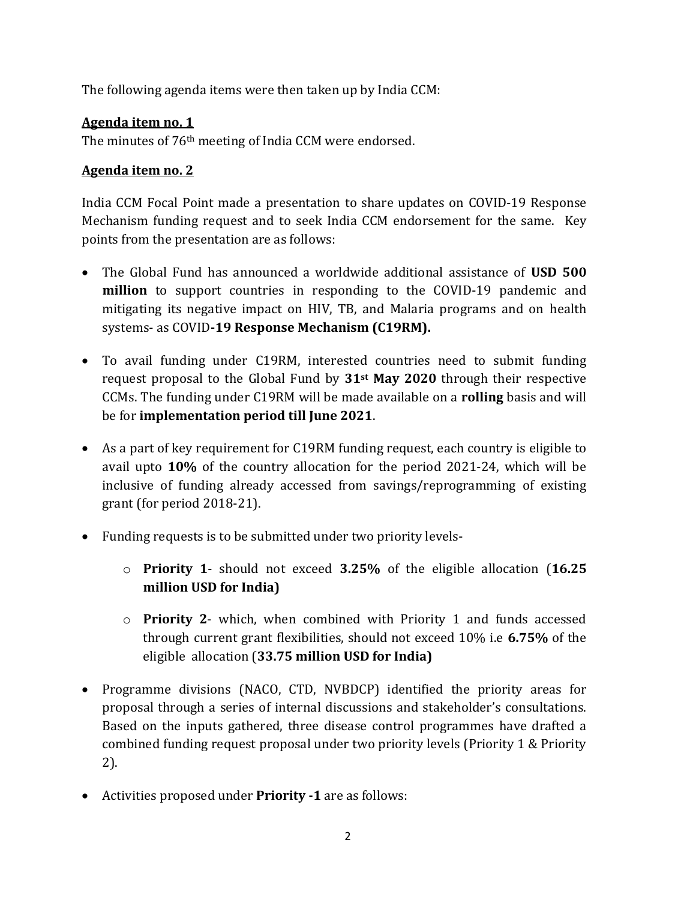The following agenda items were then taken up by India CCM:

# **Agenda item no. 1**

The minutes of 76th meeting of India CCM were endorsed.

# **Agenda item no. 2**

India CCM Focal Point made a presentation to share updates on COVID-19 Response Mechanism funding request and to seek India CCM endorsement for the same. Key points from the presentation are as follows:

- The Global Fund has announced a worldwide additional assistance of **USD 500 million** to support countries in responding to the COVID-19 pandemic and mitigating its negative impact on HIV, TB, and Malaria programs and on health systems- as COVID**-19 Response Mechanism (C19RM).**
- To avail funding under C19RM, interested countries need to submit funding request proposal to the Global Fund by **31st May 2020** through their respective CCMs. The funding under C19RM will be made available on a **rolling** basis and will be for **implementation period till June 2021**.
- As a part of key requirement for C19RM funding request, each country is eligible to avail upto **10%** of the country allocation for the period 2021-24, which will be inclusive of funding already accessed from savings/reprogramming of existing grant (for period 2018-21).
- Funding requests is to be submitted under two priority levels
	- o **Priority 1** should not exceed **3.25%** of the eligible allocation (**16.25 million USD for India)**
	- o **Priority 2** which, when combined with Priority 1 and funds accessed through current grant flexibilities, should not exceed 10% i.e **6.75%** of the eligible allocation (**33.75 million USD for India)**
- Programme divisions (NACO, CTD, NVBDCP) identified the priority areas for proposal through a series of internal discussions and stakeholder's consultations. Based on the inputs gathered, three disease control programmes have drafted a combined funding request proposal under two priority levels (Priority 1 & Priority 2).
- Activities proposed under **Priority -1** are as follows: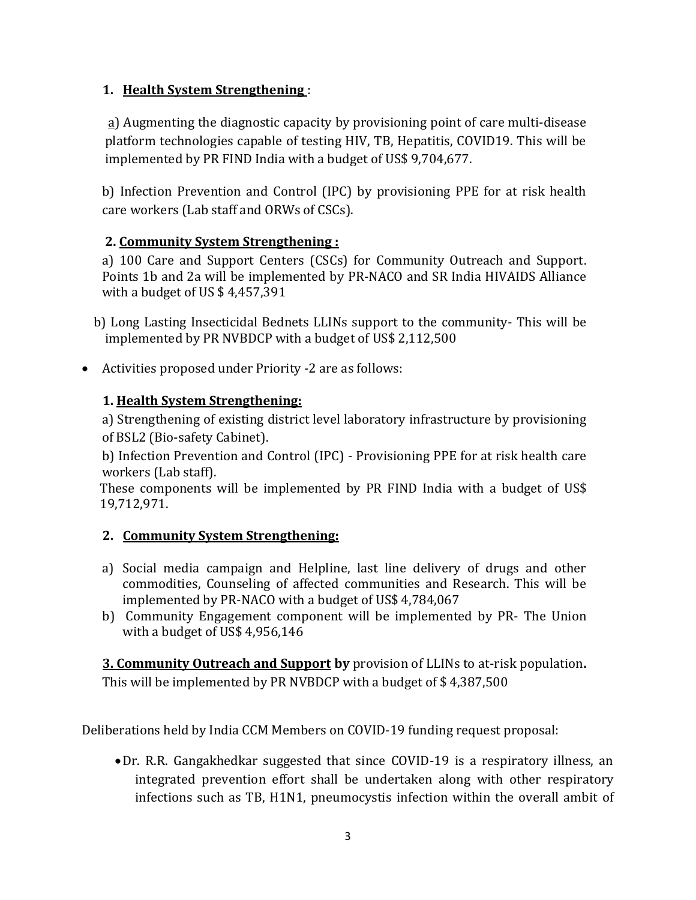## **1. Health System Strengthening** :

a) Augmenting the diagnostic capacity by provisioning point of care multi-disease platform technologies capable of testing HIV, TB, Hepatitis, COVID19. This will be implemented by PR FIND India with a budget of US\$ 9,704,677.

b) Infection Prevention and Control (IPC) by provisioning PPE for at risk health care workers (Lab staff and ORWs of CSCs).

# **2. Community System Strengthening :**

a) 100 Care and Support Centers (CSCs) for Community Outreach and Support. Points 1b and 2a will be implemented by PR-NACO and SR India HIVAIDS Alliance with a budget of US \$ 4,457,391

b) Long Lasting Insecticidal Bednets LLINs support to the community- This will be implemented by PR NVBDCP with a budget of US\$ 2,112,500

Activities proposed under Priority -2 are as follows:

# **1. Health System Strengthening:**

a) Strengthening of existing district level laboratory infrastructure by provisioning of BSL2 (Bio-safety Cabinet).

b) Infection Prevention and Control (IPC) - Provisioning PPE for at risk health care workers (Lab staff).

These components will be implemented by PR FIND India with a budget of US\$ 19,712,971.

# **2. Community System Strengthening:**

- a) Social media campaign and Helpline, last line delivery of drugs and other commodities, Counseling of affected communities and Research. This will be implemented by PR-NACO with a budget of US\$ 4,784,067
- b) Community Engagement component will be implemented by PR- The Union with a budget of US\$ 4,956,146

**3. Community Outreach and Support by** provision of LLINs to at-risk population**.** This will be implemented by PR NVBDCP with a budget of \$ 4,387,500

Deliberations held by India CCM Members on COVID-19 funding request proposal:

Dr. R.R. Gangakhedkar suggested that since COVID-19 is a respiratory illness, an integrated prevention effort shall be undertaken along with other respiratory infections such as TB, H1N1, pneumocystis infection within the overall ambit of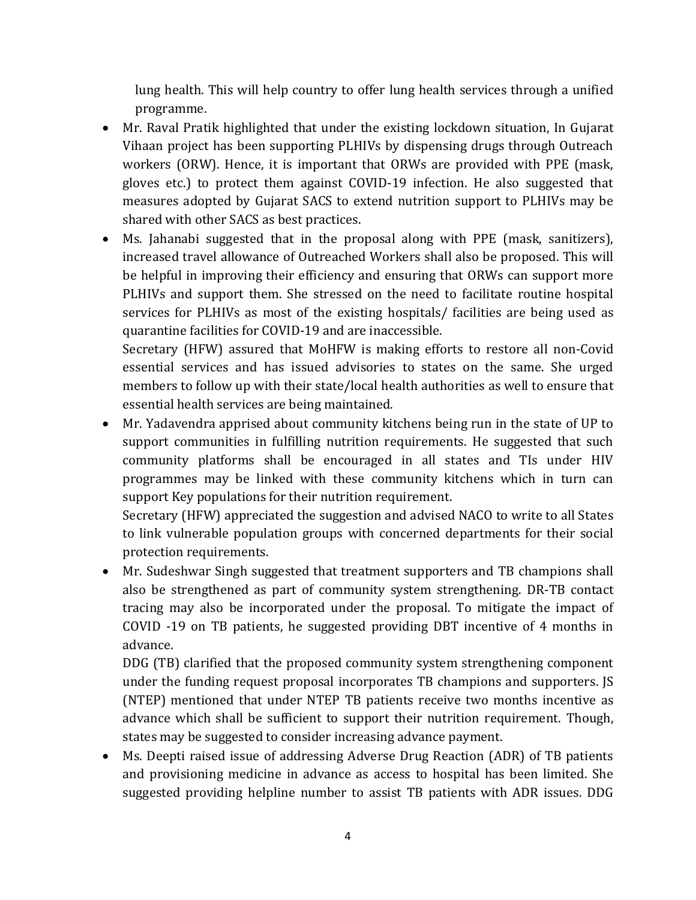lung health. This will help country to offer lung health services through a unified programme.

- Mr. Raval Pratik highlighted that under the existing lockdown situation, In Gujarat Vihaan project has been supporting PLHIVs by dispensing drugs through Outreach workers (ORW). Hence, it is important that ORWs are provided with PPE (mask, gloves etc.) to protect them against COVID-19 infection. He also suggested that measures adopted by Gujarat SACS to extend nutrition support to PLHIVs may be shared with other SACS as best practices.
- Ms. Jahanabi suggested that in the proposal along with PPE (mask, sanitizers), increased travel allowance of Outreached Workers shall also be proposed. This will be helpful in improving their efficiency and ensuring that ORWs can support more PLHIVs and support them. She stressed on the need to facilitate routine hospital services for PLHIVs as most of the existing hospitals/ facilities are being used as quarantine facilities for COVID-19 and are inaccessible.

Secretary (HFW) assured that MoHFW is making efforts to restore all non-Covid essential services and has issued advisories to states on the same. She urged members to follow up with their state/local health authorities as well to ensure that essential health services are being maintained.

 Mr. Yadavendra apprised about community kitchens being run in the state of UP to support communities in fulfilling nutrition requirements. He suggested that such community platforms shall be encouraged in all states and TIs under HIV programmes may be linked with these community kitchens which in turn can support Key populations for their nutrition requirement.

Secretary (HFW) appreciated the suggestion and advised NACO to write to all States to link vulnerable population groups with concerned departments for their social protection requirements.

 Mr. Sudeshwar Singh suggested that treatment supporters and TB champions shall also be strengthened as part of community system strengthening. DR-TB contact tracing may also be incorporated under the proposal. To mitigate the impact of COVID -19 on TB patients, he suggested providing DBT incentive of 4 months in advance.

DDG (TB) clarified that the proposed community system strengthening component under the funding request proposal incorporates TB champions and supporters. JS (NTEP) mentioned that under NTEP TB patients receive two months incentive as advance which shall be sufficient to support their nutrition requirement. Though, states may be suggested to consider increasing advance payment.

 Ms. Deepti raised issue of addressing Adverse Drug Reaction (ADR) of TB patients and provisioning medicine in advance as access to hospital has been limited. She suggested providing helpline number to assist TB patients with ADR issues. DDG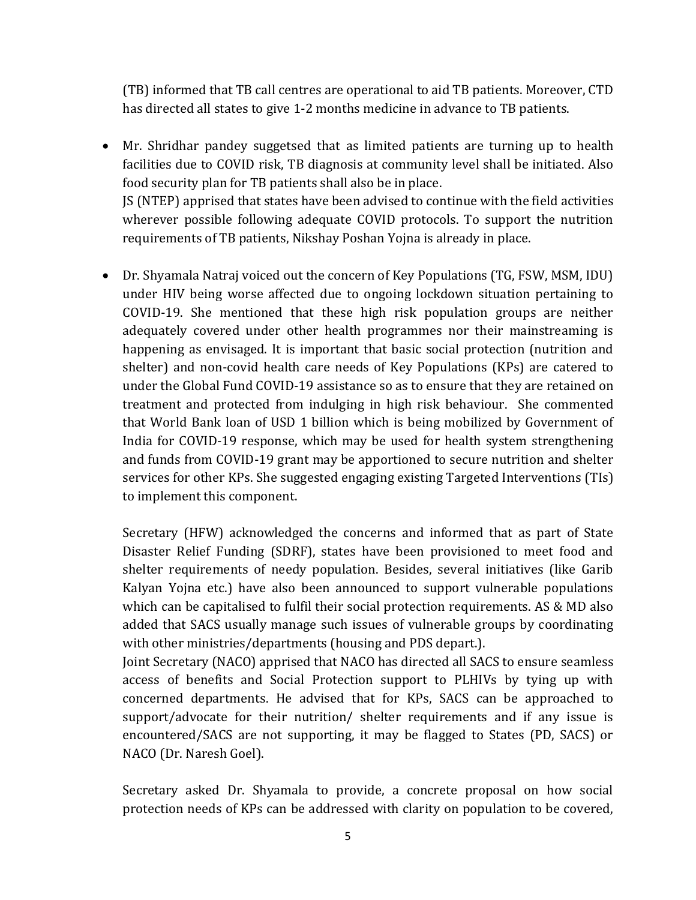(TB) informed that TB call centres are operational to aid TB patients. Moreover, CTD has directed all states to give 1-2 months medicine in advance to TB patients.

 Mr. Shridhar pandey suggetsed that as limited patients are turning up to health facilities due to COVID risk, TB diagnosis at community level shall be initiated. Also food security plan for TB patients shall also be in place. JS (NTEP) apprised that states have been advised to continue with the field activities wherever possible following adequate COVID protocols. To support the nutrition

requirements of TB patients, Nikshay Poshan Yojna is already in place.

 Dr. Shyamala Natraj voiced out the concern of Key Populations (TG, FSW, MSM, IDU) under HIV being worse affected due to ongoing lockdown situation pertaining to COVID-19. She mentioned that these high risk population groups are neither adequately covered under other health programmes nor their mainstreaming is happening as envisaged. It is important that basic social protection (nutrition and shelter) and non-covid health care needs of Key Populations (KPs) are catered to under the Global Fund COVID-19 assistance so as to ensure that they are retained on treatment and protected from indulging in high risk behaviour. She commented that World Bank loan of USD 1 billion which is being mobilized by Government of India for COVID-19 response, which may be used for health system strengthening and funds from COVID-19 grant may be apportioned to secure nutrition and shelter services for other KPs. She suggested engaging existing Targeted Interventions (TIs) to implement this component.

Secretary (HFW) acknowledged the concerns and informed that as part of State Disaster Relief Funding (SDRF), states have been provisioned to meet food and shelter requirements of needy population. Besides, several initiatives (like Garib Kalyan Yojna etc.) have also been announced to support vulnerable populations which can be capitalised to fulfil their social protection requirements. AS & MD also added that SACS usually manage such issues of vulnerable groups by coordinating with other ministries/departments (housing and PDS depart.).

Joint Secretary (NACO) apprised that NACO has directed all SACS to ensure seamless access of benefits and Social Protection support to PLHIVs by tying up with concerned departments. He advised that for KPs, SACS can be approached to support/advocate for their nutrition/ shelter requirements and if any issue is encountered/SACS are not supporting, it may be flagged to States (PD, SACS) or NACO (Dr. Naresh Goel).

Secretary asked Dr. Shyamala to provide, a concrete proposal on how social protection needs of KPs can be addressed with clarity on population to be covered,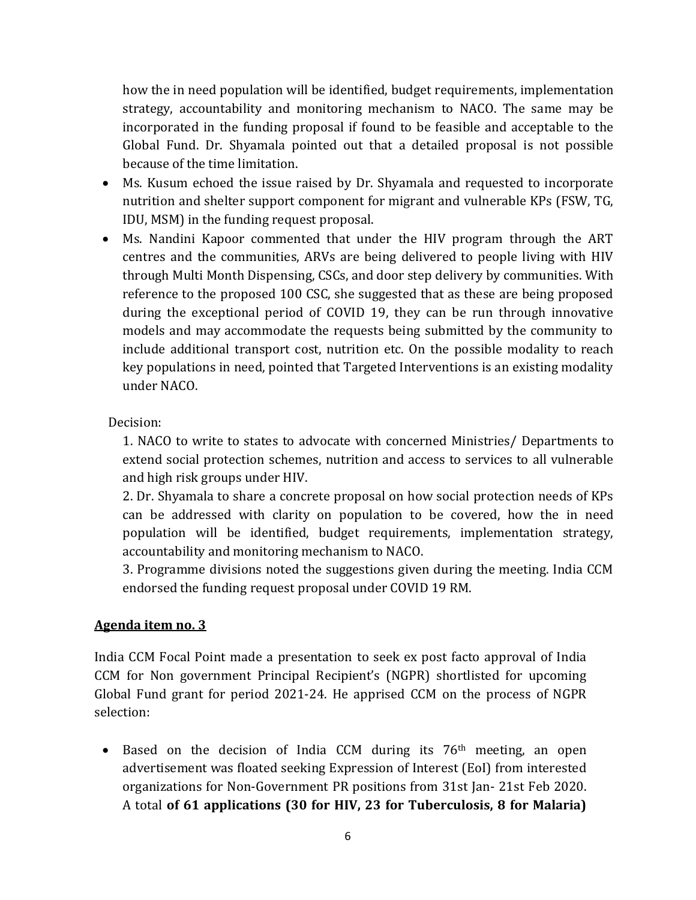how the in need population will be identified, budget requirements, implementation strategy, accountability and monitoring mechanism to NACO. The same may be incorporated in the funding proposal if found to be feasible and acceptable to the Global Fund. Dr. Shyamala pointed out that a detailed proposal is not possible because of the time limitation.

- Ms. Kusum echoed the issue raised by Dr. Shyamala and requested to incorporate nutrition and shelter support component for migrant and vulnerable KPs (FSW, TG, IDU, MSM) in the funding request proposal.
- Ms. Nandini Kapoor commented that under the HIV program through the ART centres and the communities, ARVs are being delivered to people living with HIV through Multi Month Dispensing, CSCs, and door step delivery by communities. With reference to the proposed 100 CSC, she suggested that as these are being proposed during the exceptional period of COVID 19, they can be run through innovative models and may accommodate the requests being submitted by the community to include additional transport cost, nutrition etc. On the possible modality to reach key populations in need, pointed that Targeted Interventions is an existing modality under NACO.

Decision:

1. NACO to write to states to advocate with concerned Ministries/ Departments to extend social protection schemes, nutrition and access to services to all vulnerable and high risk groups under HIV.

2. Dr. Shyamala to share a concrete proposal on how social protection needs of KPs can be addressed with clarity on population to be covered, how the in need population will be identified, budget requirements, implementation strategy, accountability and monitoring mechanism to NACO.

3. Programme divisions noted the suggestions given during the meeting. India CCM endorsed the funding request proposal under COVID 19 RM.

#### **Agenda item no. 3**

India CCM Focal Point made a presentation to seek ex post facto approval of India CCM for Non government Principal Recipient's (NGPR) shortlisted for upcoming Global Fund grant for period 2021-24. He apprised CCM on the process of NGPR selection:

• Based on the decision of India CCM during its 76<sup>th</sup> meeting, an open advertisement was floated seeking Expression of Interest (EoI) from interested organizations for Non-Government PR positions from 31st Jan- 21st Feb 2020. A total **of 61 applications (30 for HIV, 23 for Tuberculosis, 8 for Malaria)**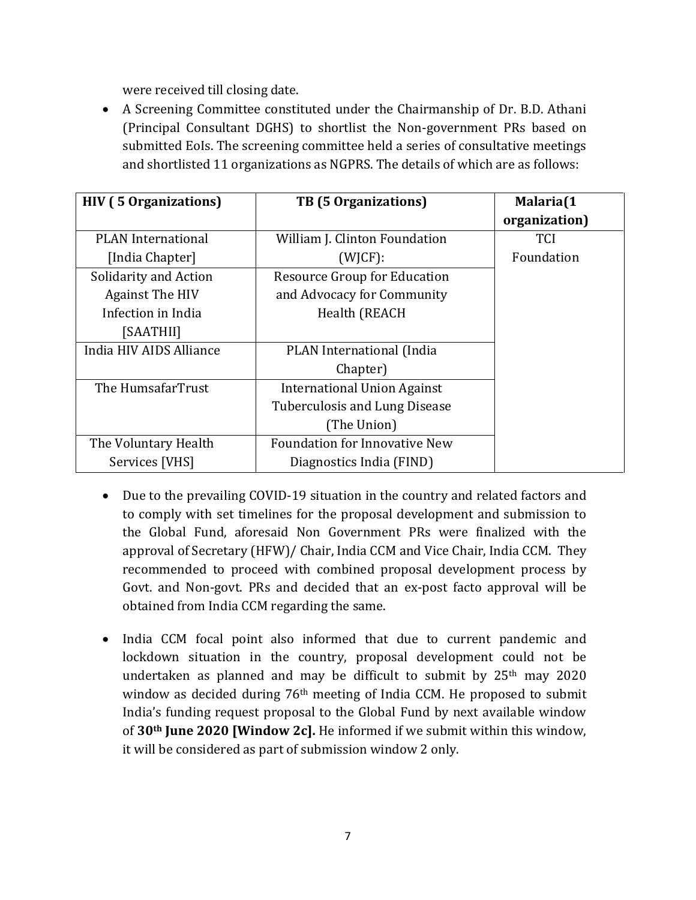were received till closing date.

 A Screening Committee constituted under the Chairmanship of Dr. B.D. Athani (Principal Consultant DGHS) to shortlist the Non-government PRs based on submitted EoIs. The screening committee held a series of consultative meetings and shortlisted 11 organizations as NGPRS. The details of which are as follows:

| <b>HIV</b> (5 Organizations) | <b>TB</b> (5 Organizations)          | Malaria(1<br>organization) |
|------------------------------|--------------------------------------|----------------------------|
| <b>PLAN</b> International    | William J. Clinton Foundation        | <b>TCI</b>                 |
| [India Chapter]              | $(W \mid CF)$ :                      | Foundation                 |
| Solidarity and Action        | <b>Resource Group for Education</b>  |                            |
| <b>Against The HIV</b>       | and Advocacy for Community           |                            |
| Infection in India           | Health (REACH                        |                            |
| [SAATHII]                    |                                      |                            |
| India HIV AIDS Alliance      | PLAN International (India            |                            |
|                              | Chapter)                             |                            |
| The HumsafarTrust            | International Union Against          |                            |
|                              | Tuberculosis and Lung Disease        |                            |
|                              | (The Union)                          |                            |
| The Voluntary Health         | <b>Foundation for Innovative New</b> |                            |
| Services [VHS]               | Diagnostics India (FIND)             |                            |

- Due to the prevailing COVID-19 situation in the country and related factors and to comply with set timelines for the proposal development and submission to the Global Fund, aforesaid Non Government PRs were finalized with the approval of Secretary (HFW)/ Chair, India CCM and Vice Chair, India CCM. They recommended to proceed with combined proposal development process by Govt. and Non-govt. PRs and decided that an ex-post facto approval will be obtained from India CCM regarding the same.
- India CCM focal point also informed that due to current pandemic and lockdown situation in the country, proposal development could not be undertaken as planned and may be difficult to submit by 25th may 2020 window as decided during 76<sup>th</sup> meeting of India CCM. He proposed to submit India's funding request proposal to the Global Fund by next available window of **30th June 2020 [Window 2c].** He informed if we submit within this window, it will be considered as part of submission window 2 only.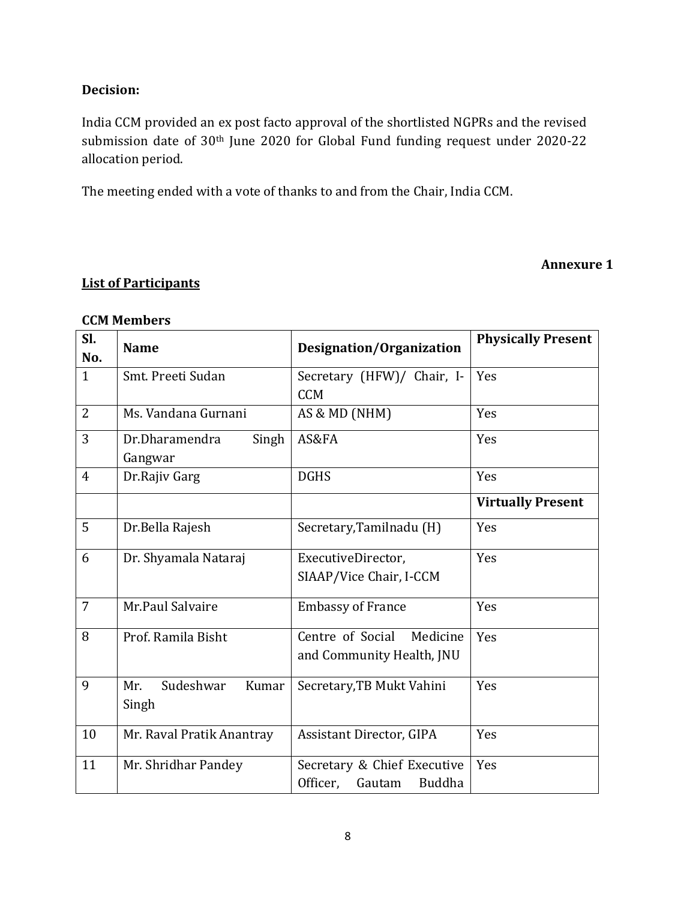### **Decision:**

India CCM provided an ex post facto approval of the shortlisted NGPRs and the revised submission date of 30th June 2020 for Global Fund funding request under 2020-22 allocation period.

The meeting ended with a vote of thanks to and from the Chair, India CCM.

#### **Annexure 1**

# **List of Participants**

| Sl.<br>No.     | <b>Name</b>                        | Designation/Organization                                    | <b>Physically Present</b> |
|----------------|------------------------------------|-------------------------------------------------------------|---------------------------|
| $\mathbf{1}$   | Smt. Preeti Sudan                  | Secretary (HFW)/ Chair, I-<br><b>CCM</b>                    | Yes                       |
| $\overline{2}$ | Ms. Vandana Gurnani                | AS & MD (NHM)                                               | Yes                       |
| 3              | Dr.Dharamendra<br>Singh<br>Gangwar | AS&FA                                                       | Yes                       |
| $\overline{4}$ | Dr.Rajiv Garg                      | <b>DGHS</b>                                                 | Yes                       |
|                |                                    |                                                             | <b>Virtually Present</b>  |
| 5              | Dr.Bella Rajesh                    | Secretary, Tamilnadu (H)                                    | Yes                       |
| 6              | Dr. Shyamala Nataraj               | ExecutiveDirector,<br>SIAAP/Vice Chair, I-CCM               | Yes                       |
| $\overline{7}$ | Mr.Paul Salvaire                   | <b>Embassy of France</b>                                    | Yes                       |
| 8              | Prof. Ramila Bisht                 | Centre of Social<br>Medicine<br>and Community Health, JNU   | Yes                       |
| 9              | Sudeshwar<br>Mr.<br>Kumar<br>Singh | Secretary, TB Mukt Vahini                                   | Yes                       |
| 10             | Mr. Raval Pratik Anantray          | Assistant Director, GIPA                                    | Yes                       |
| 11             | Mr. Shridhar Pandey                | Secretary & Chief Executive<br>Officer,<br>Gautam<br>Buddha | Yes                       |

#### **CCM Members**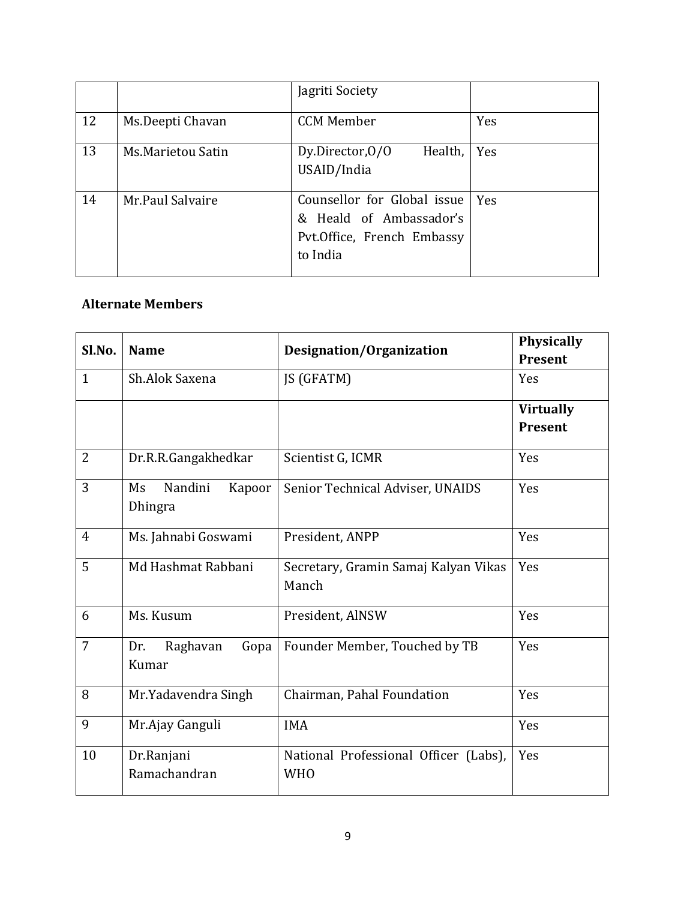|    |                   | Jagriti Society                                                                                  |     |
|----|-------------------|--------------------------------------------------------------------------------------------------|-----|
| 12 | Ms.Deepti Chavan  | <b>CCM Member</b>                                                                                | Yes |
| 13 | Ms.Marietou Satin | Health,<br>Dy.Director, 0/0<br>USAID/India                                                       | Yes |
| 14 | Mr.Paul Salvaire  | Counsellor for Global issue<br>& Heald of Ambassador's<br>Pvt.Office, French Embassy<br>to India | Yes |

# **Alternate Members**

| Sl.No.         | <b>Name</b>                        | Designation/Organization                            | Physically       |
|----------------|------------------------------------|-----------------------------------------------------|------------------|
|                |                                    |                                                     | <b>Present</b>   |
| $\mathbf{1}$   | Sh.Alok Saxena                     | JS (GFATM)                                          | Yes              |
|                |                                    |                                                     | <b>Virtually</b> |
|                |                                    |                                                     | <b>Present</b>   |
| $\overline{2}$ | Dr.R.R.Gangakhedkar                | Scientist G, ICMR                                   | Yes              |
| 3              | Nandini<br>Ms<br>Kapoor<br>Dhingra | Senior Technical Adviser, UNAIDS                    | Yes              |
| $\overline{4}$ | Ms. Jahnabi Goswami                | President, ANPP                                     | Yes              |
| 5              | Md Hashmat Rabbani                 | Secretary, Gramin Samaj Kalyan Vikas<br>Manch       | Yes              |
| 6              | Ms. Kusum                          | President, AlNSW                                    | Yes              |
| $\overline{7}$ | Raghavan<br>Dr.<br>Gopa<br>Kumar   | Founder Member, Touched by TB                       | Yes              |
| 8              | Mr.Yadavendra Singh                | Chairman, Pahal Foundation                          | Yes              |
| 9              | Mr.Ajay Ganguli                    | <b>IMA</b>                                          | Yes              |
| 10             | Dr.Ranjani<br>Ramachandran         | National Professional Officer (Labs),<br><b>WHO</b> | Yes              |